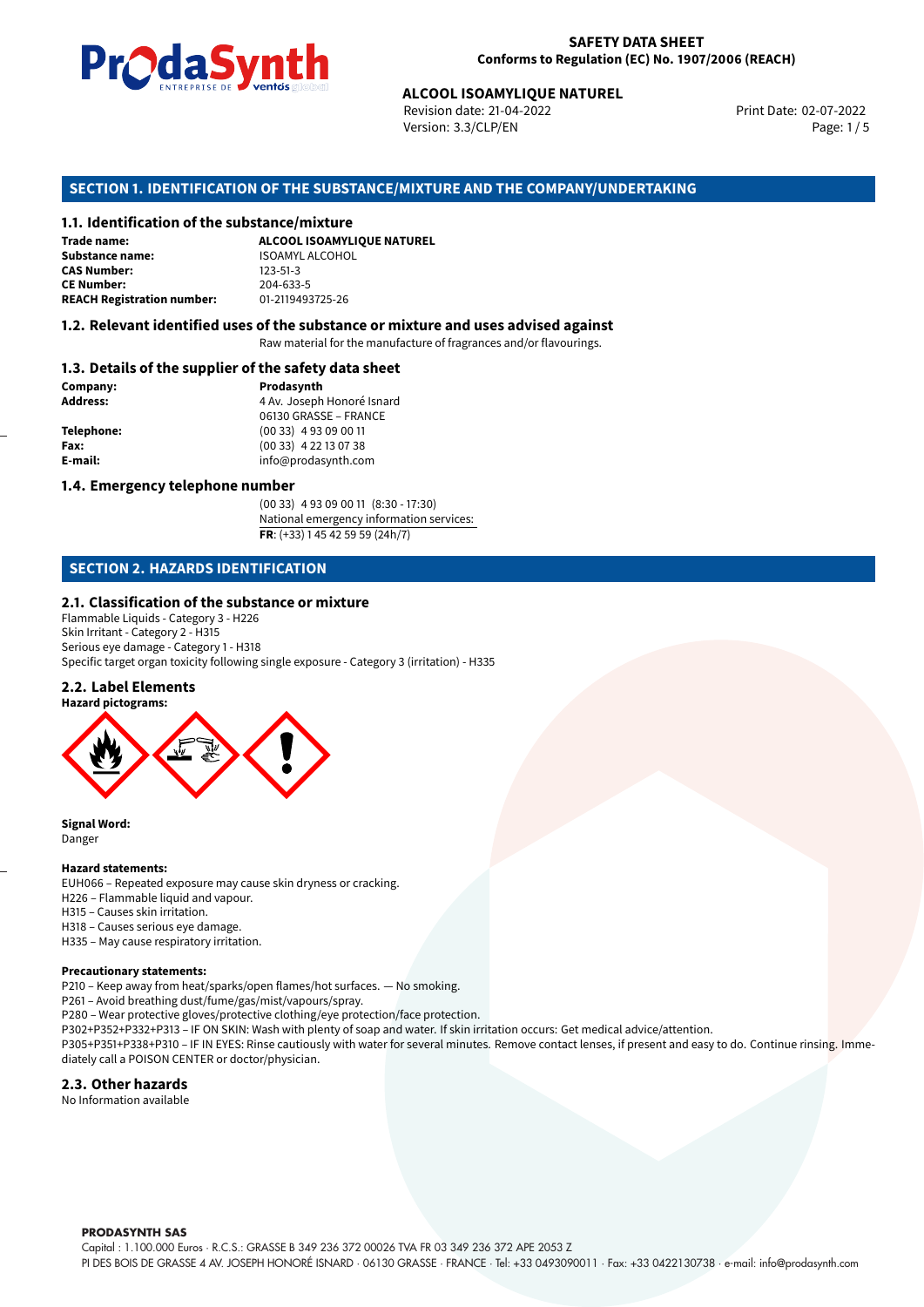

Revision date: 21-04-2022 Version: 3.3/CLP/EN Page: 1/5

Print Date: 02-07-2022

# **ALCOOL ISOAMYLIQUE NATUREL<br>
Revision date: 21-04-2022<br>
Version: 3.3/CLP/EN<br>
OF THE SUBSTANCE/MIXTURE AND THE COMPANY/UNI<br>
tance/mixture<br>
ALCOOL ISOAMYLIQUE NATUREL SECTION 1. IDENTIFICATION OF THE SUBSTANCE/MIXTURE AND THE COMPANY/UNDERTAKING**

#### **1.1. Identification of the substance/mixture**

| Trade name:                       | ALCOOL ISOAMYLIQUE NA  |
|-----------------------------------|------------------------|
| <b>Substance name:</b>            | <b>ISOAMYL ALCOHOL</b> |
| <b>CAS Number:</b>                | $123 - 51 - 3$         |
| <b>CE Number:</b>                 | 204-633-5              |
| <b>REACH Registration number:</b> | 01-2119493725-26       |

#### **1.2. Relevant identified uses of the substance or mixture and uses advised against**

Raw material for the manufacture of fragrances and/or flavourings.

#### **1.3. Details of the supplier of the safety data sheet**

| Prodasynth                 |  |  |
|----------------------------|--|--|
| 4 Av. Joseph Honoré Isnard |  |  |
| 06130 GRASSE - FRANCE      |  |  |
| $(0033)$ 4 93 09 00 11     |  |  |
| (00 33) 4 22 13 07 38      |  |  |
| info@prodasynth.com        |  |  |
|                            |  |  |

## **1.4. Emergency telephone number**

(00 33) 4 93 09 00 11 (8:30 - 17:30) National emergency information services: **FR**: (+33) 1 45 42 59 59 (24h/7)

## **SECTION 2. HAZARDS IDENTIFICATION**

#### **2.1. Classification of the substance or mixture**

Flammable Liquids - Category 3 - H226 Skin Irritant - Category 2 - H315 Serious eye damage - Category 1 - H318 Specific target organ toxicity following single exposure - Category 3 (irritation) - H335

#### **2.2. Label Elements**



**Signal Word:** Danger

#### **Hazard statements:**

EUH066 – Repeated exposure may cause skin dryness or cracking. H226 – Flammable liquid and vapour. H315 – Causes skin irritation. H318 – Causes serious eye damage. H335 – May cause respiratory irritation.

#### **Precautionary statements:**

P210 – Keep away from heat/sparks/open flames/hot surfaces. — No smoking.

P261 – Avoid breathing dust/fume/gas/mist/vapours/spray.

P280 – Wear protective gloves/protective clothing/eye protection/face protection.

P302+P352+P332+P313 – IF ON SKIN: Wash with plenty of soap and water. If skin irritation occurs: Get medical advice/attention.

P305+P351+P338+P310 – IF IN EYES: Rinse cautiously with water for several minutes. Remove contact lenses, if present and easy to do. Continue rinsing. Immediately call a POISON CENTER or doctor/physician.

#### **2.3. Other hazards**

No Information available

**PRODASYNTH SAS** 

Capital : 1.100.000 Euros · R.C.S.: GRASSE B 349 236 372 00026 TVA FR 03 349 236 372 APE 2053 Z

PI DES BOIS DE GRASSE 4 AV. JOSEPH HONORÉ ISNARD · 06130 GRASSE · FRANCE · Tel: +33 0493090011 · Fax: +33 0422130738 · e-mail: info@prodasynth.com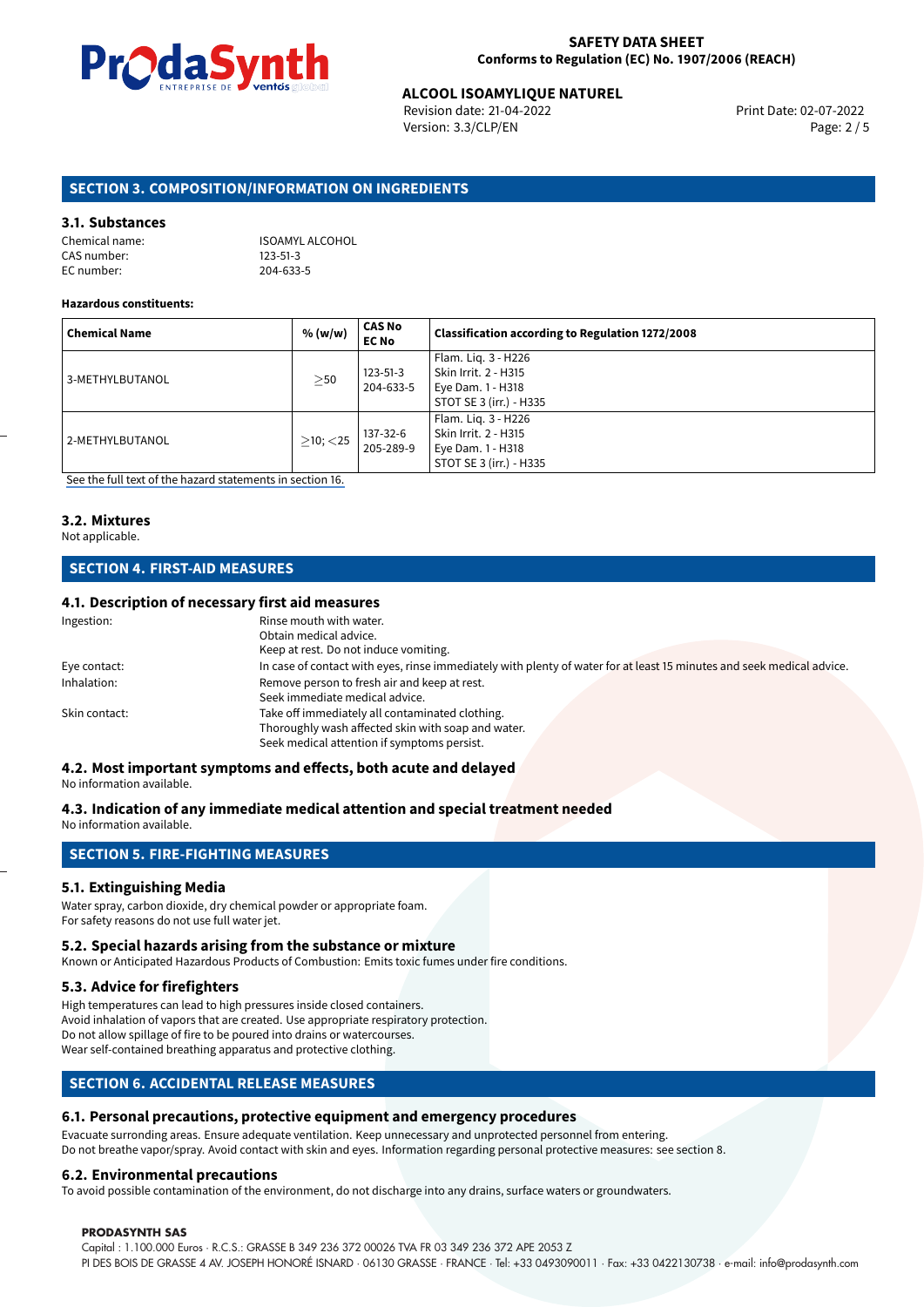

# **ALCOOL ISOAMYLIQUE NATUREL**<br>
Revision date: 21-04-2022<br> **Print Date: 02-07-2022**

Revision date: 21-04-2022 Version: 3.3/CLP/EN Page: 2 / 5

## **SECTION 3. COMPOSITION/INFORMATION ON INGREDIENTS**

#### **3.1. Substances**

| Chemical name: | ISOAMYL ALCOHOL |
|----------------|-----------------|
| CAS number:    | $123 - 51 - 3$  |
| EC number:     | 204-633-5       |

#### **Hazardous constituents:**

| <b>Chemical Name</b> | % (w/w)        | <b>CAS No</b><br><b>EC No</b> | Classification according to Regulation 1272/2008                                            |
|----------------------|----------------|-------------------------------|---------------------------------------------------------------------------------------------|
| 3-METHYLBUTANOL      | $\geq$ 50      | $123 - 51 - 3$<br>204-633-5   | Flam. Lig. 3 - H226<br>Skin Irrit. 2 - H315<br>Eye Dam. 1 - H318<br>STOT SE 3 (irr.) - H335 |
| 2-METHYLBUTANOL      | $>10$ ; $<$ 25 | 137-32-6<br>205-289-9         | Flam. Lig. 3 - H226<br>Skin Irrit. 2 - H315<br>Eye Dam. 1 - H318<br>STOT SE 3 (irr.) - H335 |

[See the full text of the hazard statements in section 16.](#page-4-0)

## **3.2. Mixtures**

#### Not applicable.

## **SECTION 4. FIRST-AID MEASURES**

## **4.1. Description of necessary first aid measures**

| Ingestion:    | Rinse mouth with water.                                                                                               |
|---------------|-----------------------------------------------------------------------------------------------------------------------|
|               | Obtain medical advice.                                                                                                |
|               | Keep at rest. Do not induce vomiting.                                                                                 |
| Eye contact:  | In case of contact with eyes, rinse immediately with plenty of water for at least 15 minutes and seek medical advice. |
| Inhalation:   | Remove person to fresh air and keep at rest.                                                                          |
|               | Seek immediate medical advice.                                                                                        |
| Skin contact: | Take off immediately all contaminated clothing.                                                                       |
|               | Thoroughly wash affected skin with soap and water.                                                                    |
|               | Seek medical attention if symptoms persist.                                                                           |

## **4.2. Most important symptoms and effects, both acute and delayed**

No information available.

## **4.3. Indication of any immediate medical attention and special treatment needed**

No information available.

## **SECTION 5. FIRE-FIGHTING MEASURES**

## **5.1. Extinguishing Media**

Water spray, carbon dioxide, dry chemical powder or appropriate foam. For safety reasons do not use full water jet.

#### **5.2. Special hazards arising from the substance or mixture**

Known or Anticipated Hazardous Products of Combustion: Emits toxic fumes under fire conditions.

#### **5.3. Advice for firefighters**

High temperatures can lead to high pressures inside closed containers. Avoid inhalation of vapors that are created. Use appropriate respiratory protection. Do not allow spillage of fire to be poured into drains or watercourses. Wear self-contained breathing apparatus and protective clothing.

## **SECTION 6. ACCIDENTAL RELEASE MEASURES**

## **6.1. Personal precautions, protective equipment and emergency procedures**

Evacuate surronding areas. Ensure adequate ventilation. Keep unnecessary and unprotected personnel from entering. Do not breathe vapor/spray. Avoid contact with skin and eyes. Information regarding personal protective measures: see section 8.

## **6.2. Environmental precautions**

To avoid possible contamination of the environment, do not discharge into any drains, surface waters or groundwaters.

#### **PRODASYNTH SAS**

Capital : 1.100.000 Euros · R.C.S.: GRASSE B 349 236 372 00026 TVA FR 03 349 236 372 APE 2053 Z PI DES BOIS DE GRASSE 4 AV. JOSEPH HONORÉ ISNARD · 06130 GRASSE · FRANCE · Tel: +33 0493090011 · Fax: +33 0422130738 · e-mail: info@prodasynth.com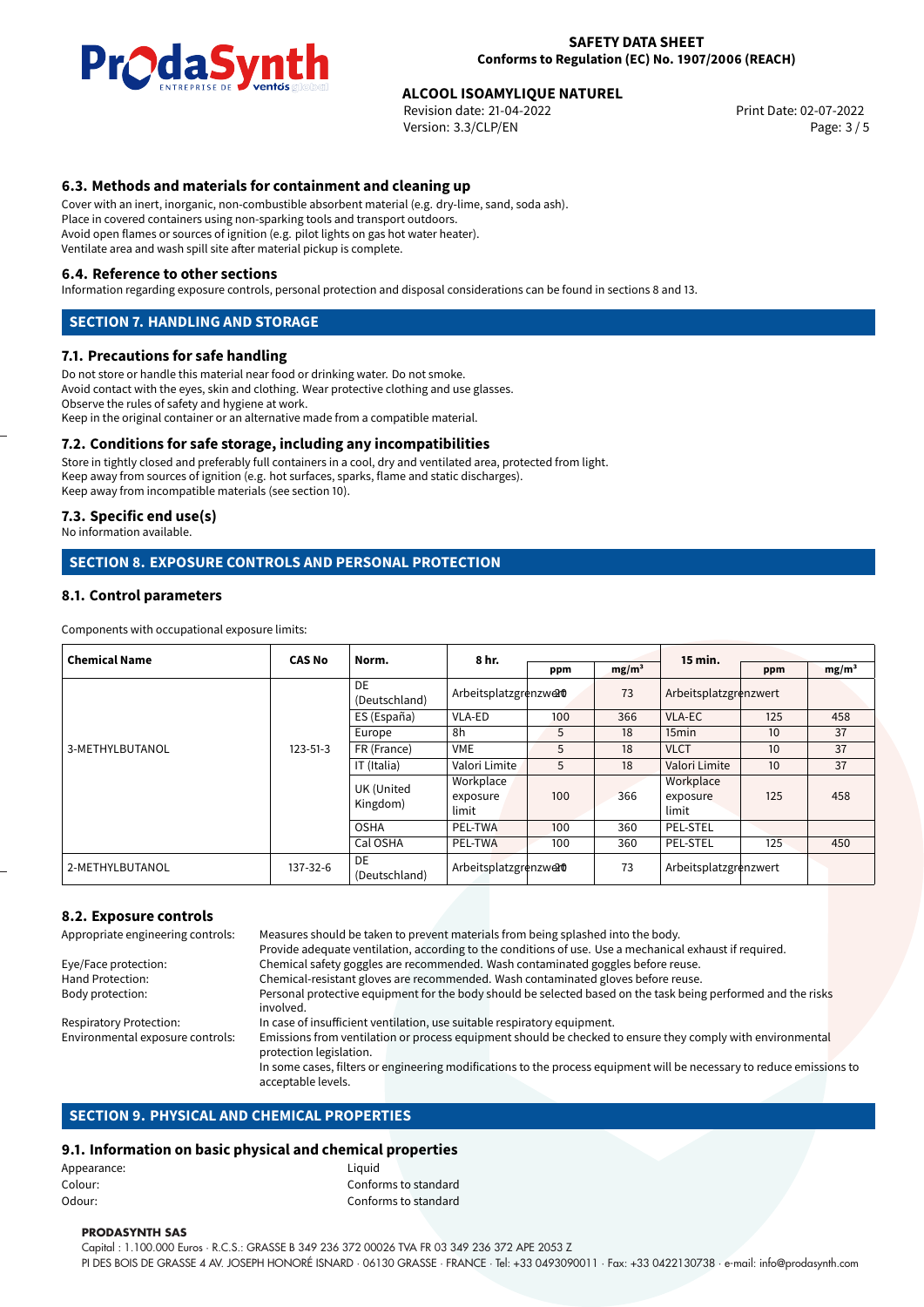

# **ALCOOL ISOAMYLIQUE NATUREL**<br>
Revision date: 21-04-2022<br> **Print Date: 02-07-2022**

Revision date: 21-04-2022 Version: 3.3/CLP/EN Page: 3 / 5

## **6.3. Methods and materials for containment and cleaning up**

Cover with an inert, inorganic, non-combustible absorbent material (e.g. dry-lime, sand, soda ash). Place in covered containers using non-sparking tools and transport outdoors. Avoid open flames or sources of ignition (e.g. pilot lights on gas hot water heater). Ventilate area and wash spill site after material pickup is complete.

#### **6.4. Reference to other sections**

Information regarding exposure controls, personal protection and disposal considerations can be found in sections 8 and 13.

## **SECTION 7. HANDLING AND STORAGE**

#### **7.1. Precautions for safe handling**

Do not store or handle this material near food or drinking water. Do not smoke. Avoid contact with the eyes, skin and clothing. Wear protective clothing and use glasses. Observe the rules of safety and hygiene at work. Keep in the original container or an alternative made from a compatible material.

#### **7.2. Conditions for safe storage, including any incompatibilities**

Store in tightly closed and preferably full containers in a cool, dry and ventilated area, protected from light. Keep away from sources of ignition (e.g. hot surfaces, sparks, flame and static discharges). Keep away from incompatible materials (see section 10).

#### **7.3. Specific end use(s)**

No information available.

#### **SECTION 8. EXPOSURE CONTROLS AND PERSONAL PROTECTION**

#### **8.1. Control parameters**

Components with occupational exposure limits:

| <b>Chemical Name</b> | <b>CAS No</b>  | Norm.                  | 8 hr.                          | ppm | mg/m <sup>3</sup> | 15 min.                        | ppm | mg/m <sup>3</sup> |
|----------------------|----------------|------------------------|--------------------------------|-----|-------------------|--------------------------------|-----|-------------------|
|                      | $123 - 51 - 3$ | DE<br>(Deutschland)    | Arbeitsplatzgrenzwerd          |     | 73                | Arbeitsplatzgrenzwert          |     |                   |
|                      |                | ES (España)            | VLA-ED                         | 100 | 366               | <b>VLA-EC</b>                  | 125 | 458               |
|                      |                | Europe                 | 8h                             | 5   | 18                | 15 <sub>min</sub>              | 10  | 37                |
| 3-METHYLBUTANOL      |                | FR (France)            | <b>VME</b>                     | 5   | 18                | <b>VLCT</b>                    | 10  | 37                |
|                      |                | IT (Italia)            | Valori Limite                  | 5   | 18                | Valori Limite                  | 10  | 37                |
|                      |                | UK (United<br>Kingdom) | Workplace<br>exposure<br>limit | 100 | 366               | Workplace<br>exposure<br>limit | 125 | 458               |
|                      |                | <b>OSHA</b>            | <b>PEL-TWA</b>                 | 100 | 360               | PEL-STEL                       |     |                   |
|                      |                | Cal OSHA               | PEL-TWA                        | 100 | 360               | <b>PEL-STEL</b>                | 125 | 450               |
| 2-METHYLBUTANOL      | 137-32-6       | DE<br>(Deutschland)    | Arbeitsplatzgrenzwerd          |     | 73                | Arbeitsplatzgrenzwert          |     |                   |

#### **8.2. Exposure controls**

Appropriate engineering controls: Measures should be taken to prevent materials from being splashed into the body. Provide adequate ventilation, according to the conditions of use. Use a mechanical exhaust if required. Eye/Face protection: Chemical safety goggles are recommended. Wash contaminated goggles before reuse. Hand Protection: Chemical-resistant gloves are recommended. Wash contaminated gloves before reuse.<br>Body protection: Personal protective equipment for the body should be selected based on the task bein Personal protective equipment for the body should be selected based on the task being performed and the risks involved. Respiratory Protection: In case of insufficient ventilation, use suitable respiratory equipment.<br>Environmental exposure controls: Emissions from ventilation or process equipment should be checked t Emissions from ventilation or process equipment should be checked to ensure they comply with environmental protection legislation. In some cases, filters or engineering modifications to the process equipment will be necessary to reduce emissions to acceptable levels.

## **SECTION 9. PHYSICAL AND CHEMICAL PROPERTIES**

## **9.1. Information on basic physical and chemical properties**

|             | . . |        |                      |
|-------------|-----|--------|----------------------|
| Appearance: |     | Liauid |                      |
| Colour:     |     |        | Conforms to standard |
| Odour:      |     |        | Conforms to standard |
|             |     |        |                      |

#### **PRODASYNTH SAS**

Capital : 1.100.000 Euros · R.C.S.: GRASSE B 349 236 372 00026 TVA FR 03 349 236 372 APE 2053 Z PI DES BOIS DE GRASSE 4 AV. JOSEPH HONORÉ ISNARD · 06130 GRASSE · FRANCE · Tel: +33 0493090011 · Fax: +33 0422130738 · e-mail: info@prodasynth.com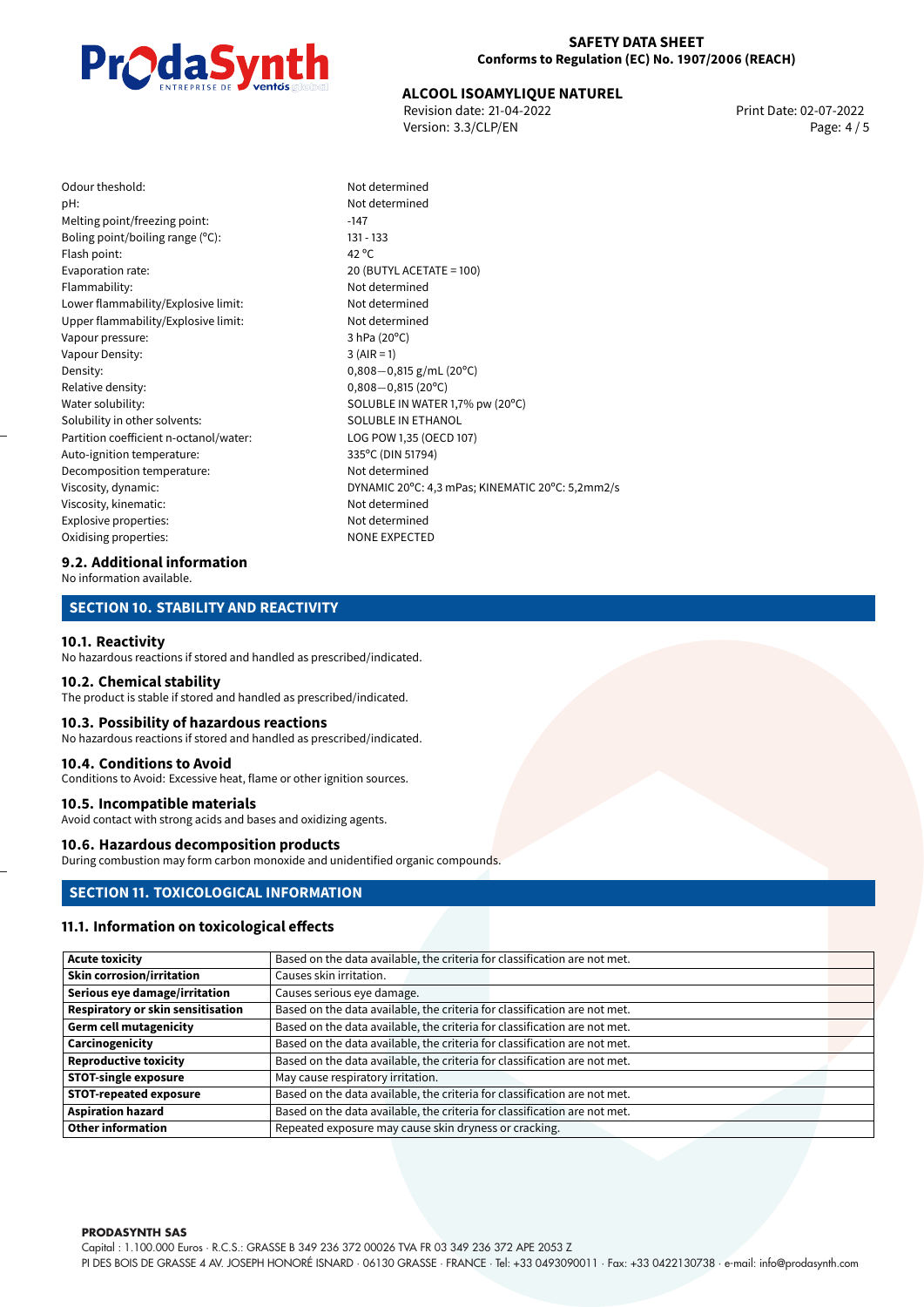### **SAFETY DATA SHEET Conforms to Regulation (EC) No. 1907/2006 (REACH)**



# **ALCOOL ISOAMYLIQUE NATUREL**<br>
Revision date: 21-04-2022<br> **Print Date: 02-07-2022**

Revision date: 21-04-2022 Version: 3.3/CLP/EN Page: 4 / 5

| Odour theshold:                        | Not det         |
|----------------------------------------|-----------------|
| pH:                                    | Not det         |
| Melting point/freezing point:          | $-147$          |
| Boling point/boiling range $(°C)$ :    | 131 - 133       |
| Flash point:                           | 42 $^{\circ}$ C |
| Evaporation rate:                      | 20 (BUT         |
| Flammability:                          | Not det         |
| Lower flammability/Explosive limit:    | Not det         |
| Upper flammability/Explosive limit:    | Not det         |
| Vapour pressure:                       | 3 hPa (2        |
| Vapour Density:                        | $3$ (AIR =      |
| Density:                               | $0,808-$        |
| Relative density:                      | $0,808-$        |
| Water solubility:                      | <b>SOLUBL</b>   |
| Solubility in other solvents:          | SOLUBL          |
| Partition coefficient n-octanol/water: | LOG PO          |
| Auto-ignition temperature:             | 335°C (D        |
| Decomposition temperature:             | Not det         |
| Viscosity, dynamic:                    | <b>DYNAMI</b>   |
| Viscosity, kinematic:                  | Not det         |
| Explosive properties:                  | Not det         |
| Oxidising properties:                  | NONE E          |
|                                        |                 |

Not determined Not determined  $20$  (BUTYL ACETATE = 100) Not determined Not determined Not determined  $3$  hPa (20 $^{\circ}$ C)  $3 (AIR = 1)$ Density: 0,808*−*0,815 g/mL (20ºC) Relative density: 0,808*−*0,815 (20ºC) SOLUBLE IN WATER 1,7% pw (20°C) SOLUBLE IN ETHANOL LOG POW 1,35 (OECD 107) 335°C (DIN 51794) Not determined DYNAMIC 20°C: 4,3 mPas; KINEMATIC 20°C: 5,2mm2/s Not determined Not determined NONE EXPECTED

#### **9.2. Additional information**

No information available.

## **SECTION 10. STABILITY AND REACTIVITY**

#### **10.1. Reactivity**

No hazardous reactions if stored and handled as prescribed/indicated.

#### **10.2. Chemical stability**

The product is stable if stored and handled as prescribed/indicated.

#### **10.3. Possibility of hazardous reactions**

No hazardous reactions if stored and handled as prescribed/indicated.

#### **10.4. Conditions to Avoid**

Conditions to Avoid: Excessive heat, flame or other ignition sources.

## **10.5. Incompatible materials**

Avoid contact with strong acids and bases and oxidizing agents.

#### **10.6. Hazardous decomposition products**

During combustion may form carbon monoxide and unidentified organic compounds.

## **SECTION 11. TOXICOLOGICAL INFORMATION**

#### **11.1. Information on toxicological effects**

| Acute toxicity                           | Based on the data available, the criteria for classification are not met. |
|------------------------------------------|---------------------------------------------------------------------------|
| <b>Skin corrosion/irritation</b>         | Causes skin irritation.                                                   |
| Serious eye damage/irritation            | Causes serious eye damage.                                                |
| <b>Respiratory or skin sensitisation</b> | Based on the data available, the criteria for classification are not met. |
| Germ cell mutagenicity                   | Based on the data available, the criteria for classification are not met. |
| Carcinogenicity                          | Based on the data available, the criteria for classification are not met. |
| Reproductive toxicity                    | Based on the data available, the criteria for classification are not met. |
| <b>STOT-single exposure</b>              | May cause respiratory irritation.                                         |
| <b>STOT-repeated exposure</b>            | Based on the data available, the criteria for classification are not met. |
| Aspiration hazard                        | Based on the data available, the criteria for classification are not met. |
| Other information                        | Repeated exposure may cause skin dryness or cracking.                     |

**PRODASYNTH SAS**